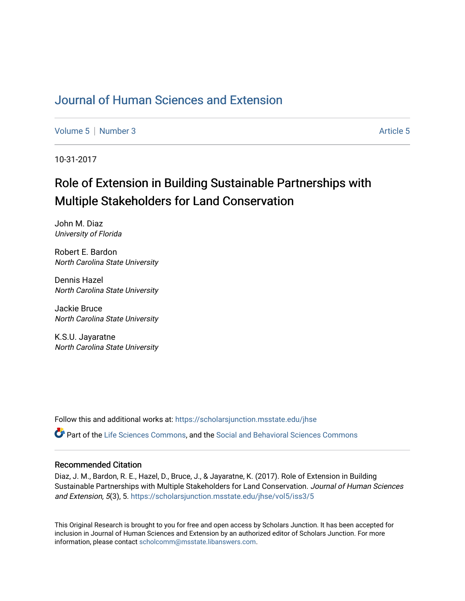## [Journal of Human Sciences and Extension](https://scholarsjunction.msstate.edu/jhse)

[Volume 5](https://scholarsjunction.msstate.edu/jhse/vol5) | [Number 3](https://scholarsjunction.msstate.edu/jhse/vol5/iss3) Article 5

10-31-2017

# Role of Extension in Building Sustainable Partnerships with Multiple Stakeholders for Land Conservation

John M. Diaz University of Florida

Robert E. Bardon North Carolina State University

Dennis Hazel North Carolina State University

Jackie Bruce North Carolina State University

K.S.U. Jayaratne North Carolina State University

Follow this and additional works at: [https://scholarsjunction.msstate.edu/jhse](https://scholarsjunction.msstate.edu/jhse?utm_source=scholarsjunction.msstate.edu%2Fjhse%2Fvol5%2Fiss3%2F5&utm_medium=PDF&utm_campaign=PDFCoverPages)

Part of the [Life Sciences Commons,](http://network.bepress.com/hgg/discipline/1016?utm_source=scholarsjunction.msstate.edu%2Fjhse%2Fvol5%2Fiss3%2F5&utm_medium=PDF&utm_campaign=PDFCoverPages) and the [Social and Behavioral Sciences Commons](http://network.bepress.com/hgg/discipline/316?utm_source=scholarsjunction.msstate.edu%2Fjhse%2Fvol5%2Fiss3%2F5&utm_medium=PDF&utm_campaign=PDFCoverPages)

#### Recommended Citation

Diaz, J. M., Bardon, R. E., Hazel, D., Bruce, J., & Jayaratne, K. (2017). Role of Extension in Building Sustainable Partnerships with Multiple Stakeholders for Land Conservation. Journal of Human Sciences and Extension, 5(3), 5. [https://scholarsjunction.msstate.edu/jhse/vol5/iss3/5](https://scholarsjunction.msstate.edu/jhse/vol5/iss3/5?utm_source=scholarsjunction.msstate.edu%2Fjhse%2Fvol5%2Fiss3%2F5&utm_medium=PDF&utm_campaign=PDFCoverPages) 

This Original Research is brought to you for free and open access by Scholars Junction. It has been accepted for inclusion in Journal of Human Sciences and Extension by an authorized editor of Scholars Junction. For more information, please contact [scholcomm@msstate.libanswers.com](mailto:scholcomm@msstate.libanswers.com).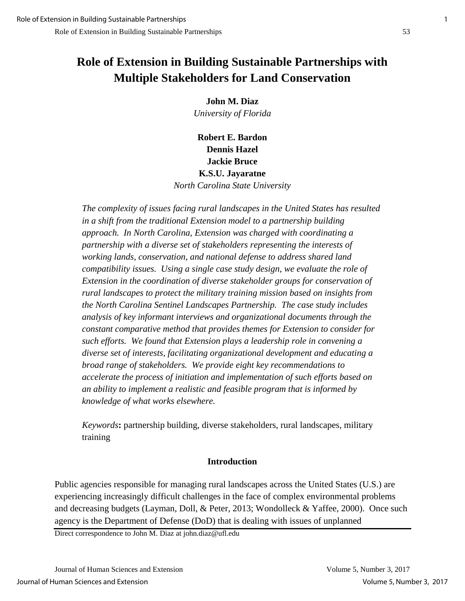## **Role of Extension in Building Sustainable Partnerships with Multiple Stakeholders for Land Conservation**

**John M. Diaz** *University of Florida*

**Robert E. Bardon Dennis Hazel Jackie Bruce K.S.U. Jayaratne** *North Carolina State University*

*The complexity of issues facing rural landscapes in the United States has resulted in a shift from the traditional Extension model to a partnership building approach. In North Carolina, Extension was charged with coordinating a partnership with a diverse set of stakeholders representing the interests of working lands, conservation, and national defense to address shared land compatibility issues. Using a single case study design, we evaluate the role of Extension in the coordination of diverse stakeholder groups for conservation of rural landscapes to protect the military training mission based on insights from the North Carolina Sentinel Landscapes Partnership. The case study includes analysis of key informant interviews and organizational documents through the constant comparative method that provides themes for Extension to consider for such efforts. We found that Extension plays a leadership role in convening a diverse set of interests, facilitating organizational development and educating a broad range of stakeholders. We provide eight key recommendations to accelerate the process of initiation and implementation of such efforts based on an ability to implement a realistic and feasible program that is informed by knowledge of what works elsewhere.*

*Keywords***:** partnership building, diverse stakeholders, rural landscapes, military training

## **Introduction**

Public agencies responsible for managing rural landscapes across the United States (U.S.) are experiencing increasingly difficult challenges in the face of complex environmental problems and decreasing budgets (Layman, Doll, & Peter, 2013; Wondolleck & Yaffee, 2000). Once such agency is the Department of Defense (DoD) that is dealing with issues of unplanned

Direct correspondence to John M. Diaz at john.diaz@ufl.edu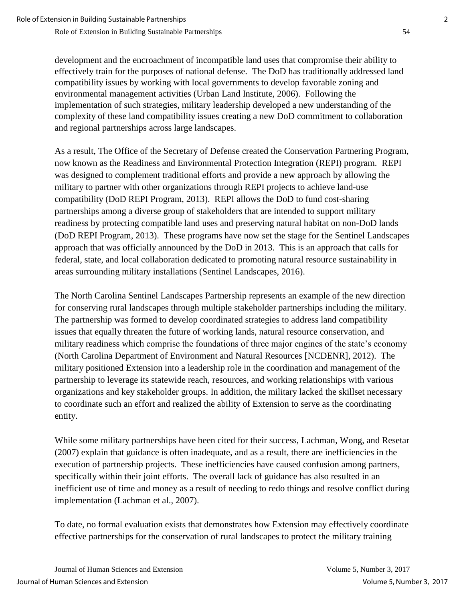development and the encroachment of incompatible land uses that compromise their ability to effectively train for the purposes of national defense. The DoD has traditionally addressed land compatibility issues by working with local governments to develop favorable zoning and environmental management activities (Urban Land Institute, 2006). Following the implementation of such strategies, military leadership developed a new understanding of the complexity of these land compatibility issues creating a new DoD commitment to collaboration and regional partnerships across large landscapes.

As a result, The Office of the Secretary of Defense created the Conservation Partnering Program, now known as the Readiness and Environmental Protection Integration (REPI) program. REPI was designed to complement traditional efforts and provide a new approach by allowing the military to partner with other organizations through REPI projects to achieve land-use compatibility (DoD REPI Program, 2013). REPI allows the DoD to fund cost-sharing partnerships among a diverse group of stakeholders that are intended to support military readiness by protecting compatible land uses and preserving natural habitat on non-DoD lands (DoD REPI Program, 2013). These programs have now set the stage for the Sentinel Landscapes approach that was officially announced by the DoD in 2013. This is an approach that calls for federal, state, and local collaboration dedicated to promoting natural resource sustainability in areas surrounding military installations (Sentinel Landscapes, 2016).

The North Carolina Sentinel Landscapes Partnership represents an example of the new direction for conserving rural landscapes through multiple stakeholder partnerships including the military. The partnership was formed to develop coordinated strategies to address land compatibility issues that equally threaten the future of working lands, natural resource conservation, and military readiness which comprise the foundations of three major engines of the state's economy (North Carolina Department of Environment and Natural Resources [NCDENR], 2012). The military positioned Extension into a leadership role in the coordination and management of the partnership to leverage its statewide reach, resources, and working relationships with various organizations and key stakeholder groups. In addition, the military lacked the skillset necessary to coordinate such an effort and realized the ability of Extension to serve as the coordinating entity.

While some military partnerships have been cited for their success, Lachman, Wong, and Resetar (2007) explain that guidance is often inadequate, and as a result, there are inefficiencies in the execution of partnership projects. These inefficiencies have caused confusion among partners, specifically within their joint efforts. The overall lack of guidance has also resulted in an inefficient use of time and money as a result of needing to redo things and resolve conflict during implementation (Lachman et al., 2007).

To date, no formal evaluation exists that demonstrates how Extension may effectively coordinate effective partnerships for the conservation of rural landscapes to protect the military training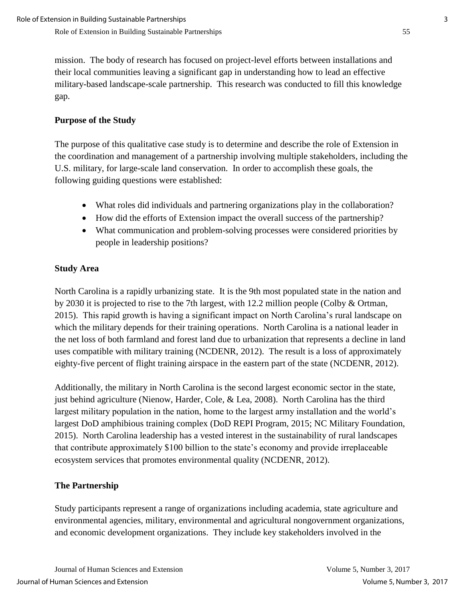mission. The body of research has focused on project-level efforts between installations and their local communities leaving a significant gap in understanding how to lead an effective military-based landscape-scale partnership. This research was conducted to fill this knowledge gap.

## **Purpose of the Study**

The purpose of this qualitative case study is to determine and describe the role of Extension in the coordination and management of a partnership involving multiple stakeholders, including the U.S. military, for large-scale land conservation. In order to accomplish these goals, the following guiding questions were established:

- What roles did individuals and partnering organizations play in the collaboration?
- How did the efforts of Extension impact the overall success of the partnership?
- What communication and problem-solving processes were considered priorities by people in leadership positions?

## **Study Area**

North Carolina is a rapidly urbanizing state. It is the 9th most populated state in the nation and by 2030 it is projected to rise to the 7th largest, with 12.2 million people (Colby & Ortman, 2015). This rapid growth is having a significant impact on North Carolina's rural landscape on which the military depends for their training operations. North Carolina is a national leader in the net loss of both farmland and forest land due to urbanization that represents a decline in land uses compatible with military training (NCDENR, 2012). The result is a loss of approximately eighty-five percent of flight training airspace in the eastern part of the state (NCDENR, 2012).

Additionally, the military in North Carolina is the second largest economic sector in the state, just behind agriculture (Nienow, Harder, Cole, & Lea, 2008). North Carolina has the third largest military population in the nation, home to the largest army installation and the world's largest DoD amphibious training complex (DoD REPI Program, 2015; NC Military Foundation, 2015). North Carolina leadership has a vested interest in the sustainability of rural landscapes that contribute approximately \$100 billion to the state's economy and provide irreplaceable ecosystem services that promotes environmental quality (NCDENR, 2012).

## **The Partnership**

Study participants represent a range of organizations including academia, state agriculture and environmental agencies, military, environmental and agricultural nongovernment organizations, and economic development organizations. They include key stakeholders involved in the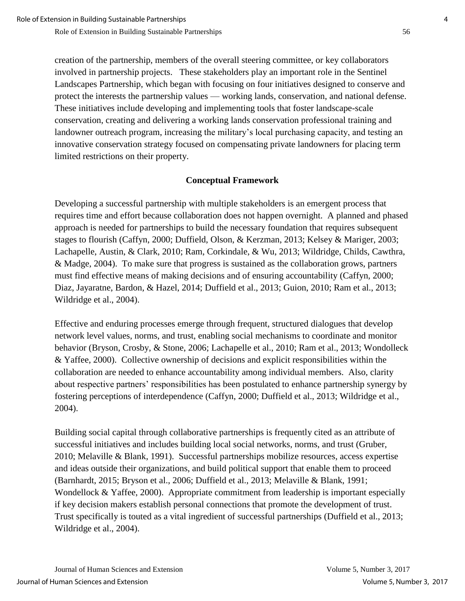creation of the partnership, members of the overall steering committee, or key collaborators involved in partnership projects. These stakeholders play an important role in the Sentinel Landscapes Partnership, which began with focusing on four initiatives designed to conserve and protect the interests the partnership values — working lands, conservation, and national defense. These initiatives include developing and implementing tools that foster landscape-scale conservation, creating and delivering a working lands conservation professional training and landowner outreach program, increasing the military's local purchasing capacity, and testing an innovative conservation strategy focused on compensating private landowners for placing term limited restrictions on their property.

## **Conceptual Framework**

Developing a successful partnership with multiple stakeholders is an emergent process that requires time and effort because collaboration does not happen overnight. A planned and phased approach is needed for partnerships to build the necessary foundation that requires subsequent stages to flourish (Caffyn, 2000; Duffield, Olson, & Kerzman, 2013; Kelsey & Mariger, 2003; Lachapelle, Austin, & Clark, 2010; Ram, Corkindale, & Wu, 2013; Wildridge, Childs, Cawthra, & Madge, 2004). To make sure that progress is sustained as the collaboration grows, partners must find effective means of making decisions and of ensuring accountability (Caffyn, 2000; Diaz, Jayaratne, Bardon, & Hazel, 2014; Duffield et al., 2013; Guion, 2010; Ram et al., 2013; Wildridge et al., 2004).

Effective and enduring processes emerge through frequent, structured dialogues that develop network level values, norms, and trust, enabling social mechanisms to coordinate and monitor behavior (Bryson, Crosby, & Stone, 2006; Lachapelle et al., 2010; Ram et al., 2013; Wondolleck & Yaffee, 2000). Collective ownership of decisions and explicit responsibilities within the collaboration are needed to enhance accountability among individual members. Also, clarity about respective partners' responsibilities has been postulated to enhance partnership synergy by fostering perceptions of interdependence (Caffyn, 2000; Duffield et al., 2013; Wildridge et al., 2004).

Building social capital through collaborative partnerships is frequently cited as an attribute of successful initiatives and includes building local social networks, norms, and trust (Gruber, 2010; Melaville & Blank, 1991). Successful partnerships mobilize resources, access expertise and ideas outside their organizations, and build political support that enable them to proceed (Barnhardt, 2015; Bryson et al., 2006; Duffield et al., 2013; Melaville & Blank, 1991; Wondellock & Yaffee, 2000). Appropriate commitment from leadership is important especially if key decision makers establish personal connections that promote the development of trust. Trust specifically is touted as a vital ingredient of successful partnerships (Duffield et al., 2013; Wildridge et al., 2004).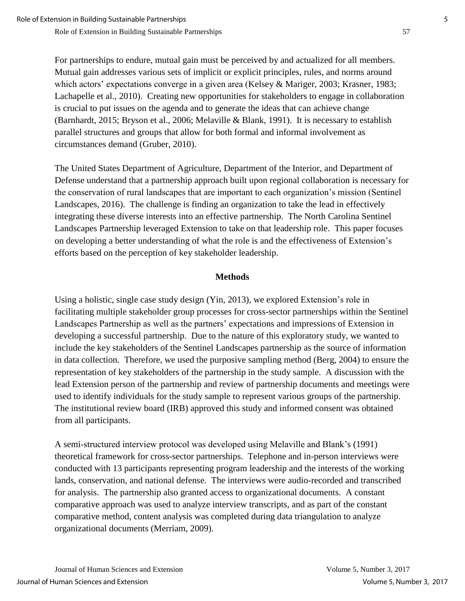For partnerships to endure, mutual gain must be perceived by and actualized for all members. Mutual gain addresses various sets of implicit or explicit principles, rules, and norms around which actors' expectations converge in a given area (Kelsey & Mariger, 2003; Krasner, 1983; Lachapelle et al., 2010). Creating new opportunities for stakeholders to engage in collaboration is crucial to put issues on the agenda and to generate the ideas that can achieve change (Barnhardt, 2015; Bryson et al., 2006; Melaville & Blank, 1991). It is necessary to establish parallel structures and groups that allow for both formal and informal involvement as circumstances demand (Gruber, 2010).

The United States Department of Agriculture, Department of the Interior, and Department of Defense understand that a partnership approach built upon regional collaboration is necessary for the conservation of rural landscapes that are important to each organization's mission (Sentinel Landscapes, 2016). The challenge is finding an organization to take the lead in effectively integrating these diverse interests into an effective partnership. The North Carolina Sentinel Landscapes Partnership leveraged Extension to take on that leadership role. This paper focuses on developing a better understanding of what the role is and the effectiveness of Extension's efforts based on the perception of key stakeholder leadership.

#### **Methods**

Using a holistic, single case study design (Yin, 2013), we explored Extension's role in facilitating multiple stakeholder group processes for cross-sector partnerships within the Sentinel Landscapes Partnership as well as the partners' expectations and impressions of Extension in developing a successful partnership. Due to the nature of this exploratory study, we wanted to include the key stakeholders of the Sentinel Landscapes partnership as the source of information in data collection. Therefore, we used the purposive sampling method (Berg, 2004) to ensure the representation of key stakeholders of the partnership in the study sample. A discussion with the lead Extension person of the partnership and review of partnership documents and meetings were used to identify individuals for the study sample to represent various groups of the partnership. The institutional review board (IRB) approved this study and informed consent was obtained from all participants.

A semi-structured interview protocol was developed using Melaville and Blank's (1991) theoretical framework for cross-sector partnerships. Telephone and in-person interviews were conducted with 13 participants representing program leadership and the interests of the working lands, conservation, and national defense. The interviews were audio-recorded and transcribed for analysis. The partnership also granted access to organizational documents. A constant comparative approach was used to analyze interview transcripts, and as part of the constant comparative method, content analysis was completed during data triangulation to analyze organizational documents (Merriam, 2009).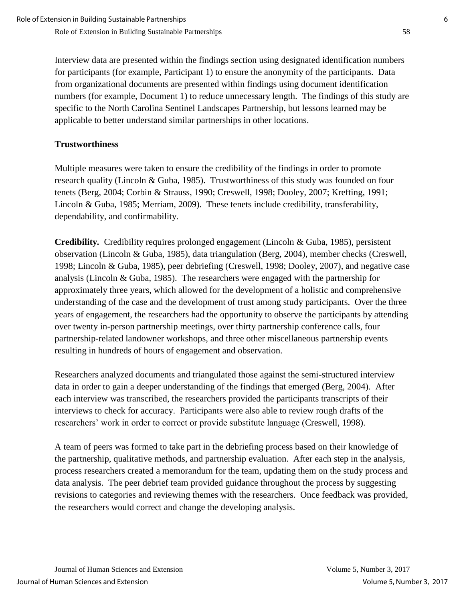Interview data are presented within the findings section using designated identification numbers for participants (for example, Participant 1) to ensure the anonymity of the participants. Data from organizational documents are presented within findings using document identification numbers (for example, Document 1) to reduce unnecessary length. The findings of this study are specific to the North Carolina Sentinel Landscapes Partnership, but lessons learned may be applicable to better understand similar partnerships in other locations.

## **Trustworthiness**

Multiple measures were taken to ensure the credibility of the findings in order to promote research quality (Lincoln & Guba, 1985). Trustworthiness of this study was founded on four tenets (Berg, 2004; Corbin & Strauss, 1990; Creswell, 1998; Dooley, 2007; Krefting, 1991; Lincoln & Guba, 1985; Merriam, 2009). These tenets include credibility, transferability, dependability, and confirmability.

**Credibility***.* Credibility requires prolonged engagement (Lincoln & Guba, 1985), persistent observation (Lincoln & Guba, 1985), data triangulation (Berg, 2004), member checks (Creswell, 1998; Lincoln & Guba, 1985), peer debriefing (Creswell, 1998; Dooley, 2007), and negative case analysis (Lincoln & Guba, 1985). The researchers were engaged with the partnership for approximately three years, which allowed for the development of a holistic and comprehensive understanding of the case and the development of trust among study participants. Over the three years of engagement, the researchers had the opportunity to observe the participants by attending over twenty in-person partnership meetings, over thirty partnership conference calls, four partnership-related landowner workshops, and three other miscellaneous partnership events resulting in hundreds of hours of engagement and observation.

Researchers analyzed documents and triangulated those against the semi-structured interview data in order to gain a deeper understanding of the findings that emerged (Berg, 2004). After each interview was transcribed, the researchers provided the participants transcripts of their interviews to check for accuracy. Participants were also able to review rough drafts of the researchers' work in order to correct or provide substitute language (Creswell, 1998).

A team of peers was formed to take part in the debriefing process based on their knowledge of the partnership, qualitative methods, and partnership evaluation. After each step in the analysis, process researchers created a memorandum for the team, updating them on the study process and data analysis. The peer debrief team provided guidance throughout the process by suggesting revisions to categories and reviewing themes with the researchers. Once feedback was provided, the researchers would correct and change the developing analysis.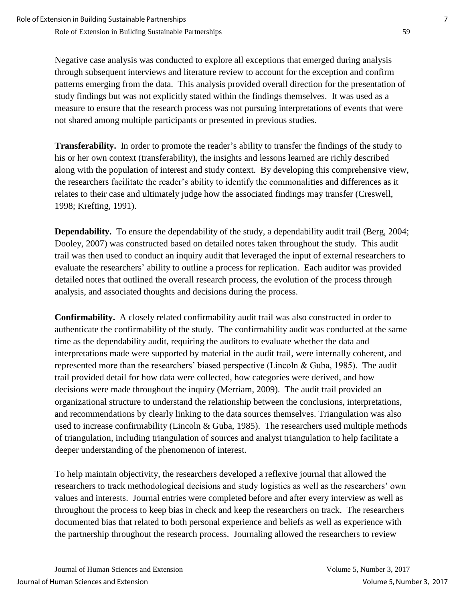Negative case analysis was conducted to explore all exceptions that emerged during analysis through subsequent interviews and literature review to account for the exception and confirm patterns emerging from the data. This analysis provided overall direction for the presentation of study findings but was not explicitly stated within the findings themselves. It was used as a measure to ensure that the research process was not pursuing interpretations of events that were not shared among multiple participants or presented in previous studies.

**Transferability.**In order to promote the reader's ability to transfer the findings of the study to his or her own context (transferability), the insights and lessons learned are richly described along with the population of interest and study context. By developing this comprehensive view, the researchers facilitate the reader's ability to identify the commonalities and differences as it relates to their case and ultimately judge how the associated findings may transfer (Creswell, 1998; Krefting, 1991).

**Dependability.** To ensure the dependability of the study, a dependability audit trail (Berg, 2004; Dooley, 2007) was constructed based on detailed notes taken throughout the study. This audit trail was then used to conduct an inquiry audit that leveraged the input of external researchers to evaluate the researchers' ability to outline a process for replication. Each auditor was provided detailed notes that outlined the overall research process, the evolution of the process through analysis, and associated thoughts and decisions during the process.

**Confirmability.**A closely related confirmability audit trail was also constructed in order to authenticate the confirmability of the study. The confirmability audit was conducted at the same time as the dependability audit, requiring the auditors to evaluate whether the data and interpretations made were supported by material in the audit trail, were internally coherent, and represented more than the researchers' biased perspective (Lincoln & Guba, 1985). The audit trail provided detail for how data were collected, how categories were derived, and how decisions were made throughout the inquiry (Merriam, 2009). The audit trail provided an organizational structure to understand the relationship between the conclusions, interpretations, and recommendations by clearly linking to the data sources themselves. Triangulation was also used to increase confirmability (Lincoln & Guba, 1985). The researchers used multiple methods of triangulation, including triangulation of sources and analyst triangulation to help facilitate a deeper understanding of the phenomenon of interest.

To help maintain objectivity, the researchers developed a reflexive journal that allowed the researchers to track methodological decisions and study logistics as well as the researchers' own values and interests. Journal entries were completed before and after every interview as well as throughout the process to keep bias in check and keep the researchers on track. The researchers documented bias that related to both personal experience and beliefs as well as experience with the partnership throughout the research process. Journaling allowed the researchers to review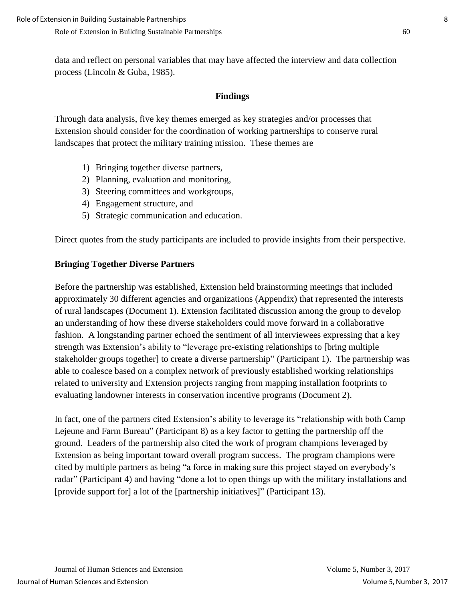data and reflect on personal variables that may have affected the interview and data collection process (Lincoln & Guba, 1985).

## **Findings**

Through data analysis, five key themes emerged as key strategies and/or processes that Extension should consider for the coordination of working partnerships to conserve rural landscapes that protect the military training mission. These themes are

- 1) Bringing together diverse partners,
- 2) Planning, evaluation and monitoring,
- 3) Steering committees and workgroups,
- 4) Engagement structure, and
- 5) Strategic communication and education.

Direct quotes from the study participants are included to provide insights from their perspective.

### **Bringing Together Diverse Partners**

Before the partnership was established, Extension held brainstorming meetings that included approximately 30 different agencies and organizations (Appendix) that represented the interests of rural landscapes (Document 1). Extension facilitated discussion among the group to develop an understanding of how these diverse stakeholders could move forward in a collaborative fashion. A longstanding partner echoed the sentiment of all interviewees expressing that a key strength was Extension's ability to "leverage pre-existing relationships to [bring multiple stakeholder groups together] to create a diverse partnership" (Participant 1). The partnership was able to coalesce based on a complex network of previously established working relationships related to university and Extension projects ranging from mapping installation footprints to evaluating landowner interests in conservation incentive programs (Document 2).

In fact, one of the partners cited Extension's ability to leverage its "relationship with both Camp Lejeune and Farm Bureau" (Participant 8) as a key factor to getting the partnership off the ground. Leaders of the partnership also cited the work of program champions leveraged by Extension as being important toward overall program success. The program champions were cited by multiple partners as being "a force in making sure this project stayed on everybody's radar" (Participant 4) and having "done a lot to open things up with the military installations and [provide support for] a lot of the [partnership initiatives]" (Participant 13).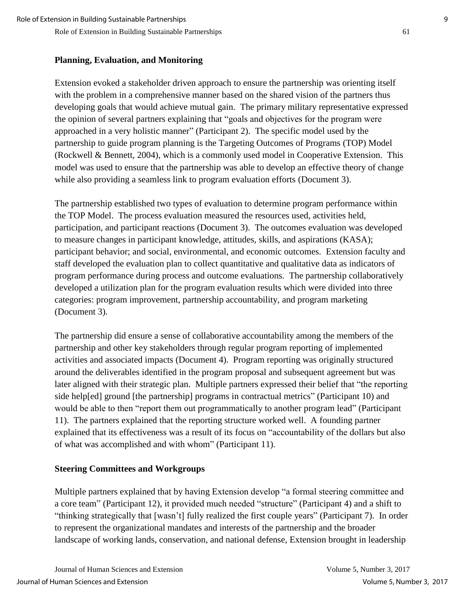## **Planning, Evaluation, and Monitoring**

Extension evoked a stakeholder driven approach to ensure the partnership was orienting itself with the problem in a comprehensive manner based on the shared vision of the partners thus developing goals that would achieve mutual gain. The primary military representative expressed the opinion of several partners explaining that "goals and objectives for the program were approached in a very holistic manner" (Participant 2). The specific model used by the partnership to guide program planning is the Targeting Outcomes of Programs (TOP) Model (Rockwell & Bennett, 2004), which is a commonly used model in Cooperative Extension. This model was used to ensure that the partnership was able to develop an effective theory of change while also providing a seamless link to program evaluation efforts (Document 3).

The partnership established two types of evaluation to determine program performance within the TOP Model. The process evaluation measured the resources used, activities held, participation, and participant reactions (Document 3). The outcomes evaluation was developed to measure changes in participant knowledge, attitudes, skills, and aspirations (KASA); participant behavior; and social, environmental, and economic outcomes. Extension faculty and staff developed the evaluation plan to collect quantitative and qualitative data as indicators of program performance during process and outcome evaluations. The partnership collaboratively developed a utilization plan for the program evaluation results which were divided into three categories: program improvement, partnership accountability, and program marketing (Document 3).

The partnership did ensure a sense of collaborative accountability among the members of the partnership and other key stakeholders through regular program reporting of implemented activities and associated impacts (Document 4). Program reporting was originally structured around the deliverables identified in the program proposal and subsequent agreement but was later aligned with their strategic plan. Multiple partners expressed their belief that "the reporting side help[ed] ground [the partnership] programs in contractual metrics" (Participant 10) and would be able to then "report them out programmatically to another program lead" (Participant 11). The partners explained that the reporting structure worked well. A founding partner explained that its effectiveness was a result of its focus on "accountability of the dollars but also of what was accomplished and with whom" (Participant 11).

## **Steering Committees and Workgroups**

Multiple partners explained that by having Extension develop "a formal steering committee and a core team" (Participant 12), it provided much needed "structure" (Participant 4) and a shift to "thinking strategically that [wasn't] fully realized the first couple years" (Participant 7). In order to represent the organizational mandates and interests of the partnership and the broader landscape of working lands, conservation, and national defense, Extension brought in leadership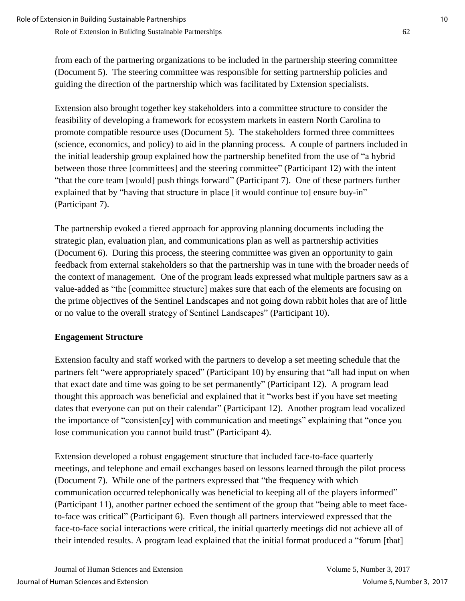from each of the partnering organizations to be included in the partnership steering committee (Document 5). The steering committee was responsible for setting partnership policies and guiding the direction of the partnership which was facilitated by Extension specialists.

Extension also brought together key stakeholders into a committee structure to consider the feasibility of developing a framework for ecosystem markets in eastern North Carolina to promote compatible resource uses (Document 5). The stakeholders formed three committees (science, economics, and policy) to aid in the planning process. A couple of partners included in the initial leadership group explained how the partnership benefited from the use of "a hybrid between those three [committees] and the steering committee" (Participant 12) with the intent "that the core team [would] push things forward" (Participant 7). One of these partners further explained that by "having that structure in place [it would continue to] ensure buy-in" (Participant 7).

The partnership evoked a tiered approach for approving planning documents including the strategic plan, evaluation plan, and communications plan as well as partnership activities (Document 6). During this process, the steering committee was given an opportunity to gain feedback from external stakeholders so that the partnership was in tune with the broader needs of the context of management. One of the program leads expressed what multiple partners saw as a value-added as "the [committee structure] makes sure that each of the elements are focusing on the prime objectives of the Sentinel Landscapes and not going down rabbit holes that are of little or no value to the overall strategy of Sentinel Landscapes" (Participant 10).

## **Engagement Structure**

Extension faculty and staff worked with the partners to develop a set meeting schedule that the partners felt "were appropriately spaced" (Participant 10) by ensuring that "all had input on when that exact date and time was going to be set permanently" (Participant 12). A program lead thought this approach was beneficial and explained that it "works best if you have set meeting dates that everyone can put on their calendar" (Participant 12). Another program lead vocalized the importance of "consisten[cy] with communication and meetings" explaining that "once you lose communication you cannot build trust" (Participant 4).

Extension developed a robust engagement structure that included face-to-face quarterly meetings, and telephone and email exchanges based on lessons learned through the pilot process (Document 7). While one of the partners expressed that "the frequency with which communication occurred telephonically was beneficial to keeping all of the players informed" (Participant 11), another partner echoed the sentiment of the group that "being able to meet faceto-face was critical" (Participant 6). Even though all partners interviewed expressed that the face-to-face social interactions were critical, the initial quarterly meetings did not achieve all of their intended results. A program lead explained that the initial format produced a "forum [that]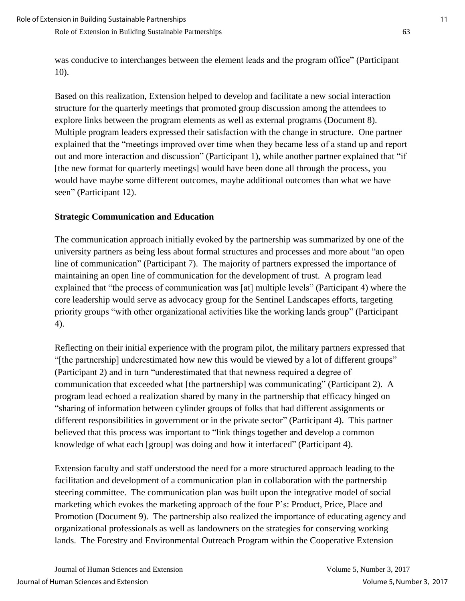was conducive to interchanges between the element leads and the program office" (Participant 10).

Based on this realization, Extension helped to develop and facilitate a new social interaction structure for the quarterly meetings that promoted group discussion among the attendees to explore links between the program elements as well as external programs (Document 8). Multiple program leaders expressed their satisfaction with the change in structure. One partner explained that the "meetings improved over time when they became less of a stand up and report out and more interaction and discussion" (Participant 1), while another partner explained that "if [the new format for quarterly meetings] would have been done all through the process, you would have maybe some different outcomes, maybe additional outcomes than what we have seen" (Participant 12).

#### **Strategic Communication and Education**

The communication approach initially evoked by the partnership was summarized by one of the university partners as being less about formal structures and processes and more about "an open line of communication" (Participant 7). The majority of partners expressed the importance of maintaining an open line of communication for the development of trust. A program lead explained that "the process of communication was [at] multiple levels" (Participant 4) where the core leadership would serve as advocacy group for the Sentinel Landscapes efforts, targeting priority groups "with other organizational activities like the working lands group" (Participant 4).

Reflecting on their initial experience with the program pilot, the military partners expressed that "[the partnership] underestimated how new this would be viewed by a lot of different groups" (Participant 2) and in turn "underestimated that that newness required a degree of communication that exceeded what [the partnership] was communicating" (Participant 2). A program lead echoed a realization shared by many in the partnership that efficacy hinged on "sharing of information between cylinder groups of folks that had different assignments or different responsibilities in government or in the private sector" (Participant 4). This partner believed that this process was important to "link things together and develop a common knowledge of what each [group] was doing and how it interfaced" (Participant 4).

Extension faculty and staff understood the need for a more structured approach leading to the facilitation and development of a communication plan in collaboration with the partnership steering committee. The communication plan was built upon the integrative model of social marketing which evokes the marketing approach of the four P's: Product, Price, Place and Promotion (Document 9). The partnership also realized the importance of educating agency and organizational professionals as well as landowners on the strategies for conserving working lands. The Forestry and Environmental Outreach Program within the Cooperative Extension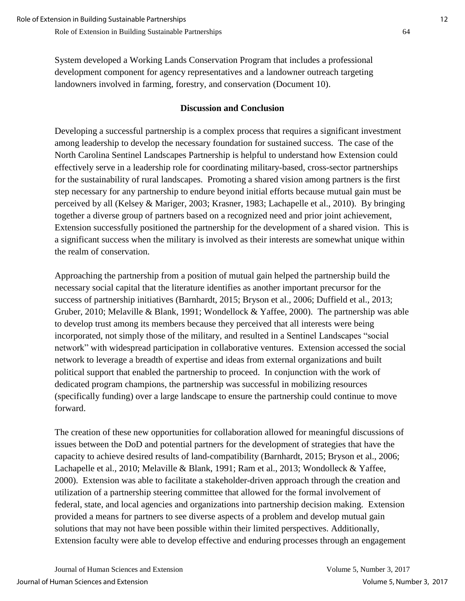System developed a Working Lands Conservation Program that includes a professional development component for agency representatives and a landowner outreach targeting landowners involved in farming, forestry, and conservation (Document 10).

## **Discussion and Conclusion**

Developing a successful partnership is a complex process that requires a significant investment among leadership to develop the necessary foundation for sustained success. The case of the North Carolina Sentinel Landscapes Partnership is helpful to understand how Extension could effectively serve in a leadership role for coordinating military-based, cross-sector partnerships for the sustainability of rural landscapes. Promoting a shared vision among partners is the first step necessary for any partnership to endure beyond initial efforts because mutual gain must be perceived by all (Kelsey & Mariger, 2003; Krasner, 1983; Lachapelle et al., 2010). By bringing together a diverse group of partners based on a recognized need and prior joint achievement, Extension successfully positioned the partnership for the development of a shared vision. This is a significant success when the military is involved as their interests are somewhat unique within the realm of conservation.

Approaching the partnership from a position of mutual gain helped the partnership build the necessary social capital that the literature identifies as another important precursor for the success of partnership initiatives (Barnhardt, 2015; Bryson et al., 2006; Duffield et al., 2013; Gruber, 2010; Melaville & Blank, 1991; Wondellock & Yaffee, 2000). The partnership was able to develop trust among its members because they perceived that all interests were being incorporated, not simply those of the military, and resulted in a Sentinel Landscapes "social network" with widespread participation in collaborative ventures. Extension accessed the social network to leverage a breadth of expertise and ideas from external organizations and built political support that enabled the partnership to proceed. In conjunction with the work of dedicated program champions, the partnership was successful in mobilizing resources (specifically funding) over a large landscape to ensure the partnership could continue to move forward.

The creation of these new opportunities for collaboration allowed for meaningful discussions of issues between the DoD and potential partners for the development of strategies that have the capacity to achieve desired results of land-compatibility (Barnhardt, 2015; Bryson et al., 2006; Lachapelle et al., 2010; Melaville & Blank, 1991; Ram et al., 2013; Wondolleck & Yaffee, 2000). Extension was able to facilitate a stakeholder-driven approach through the creation and utilization of a partnership steering committee that allowed for the formal involvement of federal, state, and local agencies and organizations into partnership decision making. Extension provided a means for partners to see diverse aspects of a problem and develop mutual gain solutions that may not have been possible within their limited perspectives. Additionally, Extension faculty were able to develop effective and enduring processes through an engagement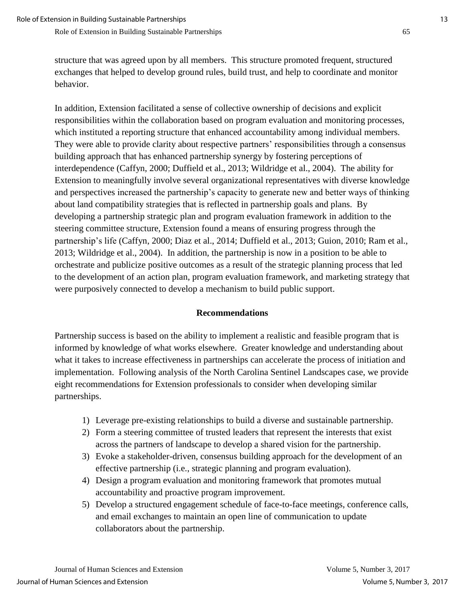structure that was agreed upon by all members. This structure promoted frequent, structured exchanges that helped to develop ground rules, build trust, and help to coordinate and monitor behavior.

In addition, Extension facilitated a sense of collective ownership of decisions and explicit responsibilities within the collaboration based on program evaluation and monitoring processes, which instituted a reporting structure that enhanced accountability among individual members. They were able to provide clarity about respective partners' responsibilities through a consensus building approach that has enhanced partnership synergy by fostering perceptions of interdependence (Caffyn, 2000; Duffield et al., 2013; Wildridge et al., 2004). The ability for Extension to meaningfully involve several organizational representatives with diverse knowledge and perspectives increased the partnership's capacity to generate new and better ways of thinking about land compatibility strategies that is reflected in partnership goals and plans. By developing a partnership strategic plan and program evaluation framework in addition to the steering committee structure, Extension found a means of ensuring progress through the partnership's life (Caffyn, 2000; Diaz et al., 2014; Duffield et al., 2013; Guion, 2010; Ram et al., 2013; Wildridge et al., 2004). In addition, the partnership is now in a position to be able to orchestrate and publicize positive outcomes as a result of the strategic planning process that led to the development of an action plan, program evaluation framework, and marketing strategy that were purposively connected to develop a mechanism to build public support.

#### **Recommendations**

Partnership success is based on the ability to implement a realistic and feasible program that is informed by knowledge of what works elsewhere. Greater knowledge and understanding about what it takes to increase effectiveness in partnerships can accelerate the process of initiation and implementation. Following analysis of the North Carolina Sentinel Landscapes case, we provide eight recommendations for Extension professionals to consider when developing similar partnerships.

- 1) Leverage pre-existing relationships to build a diverse and sustainable partnership.
- 2) Form a steering committee of trusted leaders that represent the interests that exist across the partners of landscape to develop a shared vision for the partnership.
- 3) Evoke a stakeholder-driven, consensus building approach for the development of an effective partnership (i.e., strategic planning and program evaluation).
- 4) Design a program evaluation and monitoring framework that promotes mutual accountability and proactive program improvement.
- 5) Develop a structured engagement schedule of face-to-face meetings, conference calls, and email exchanges to maintain an open line of communication to update collaborators about the partnership.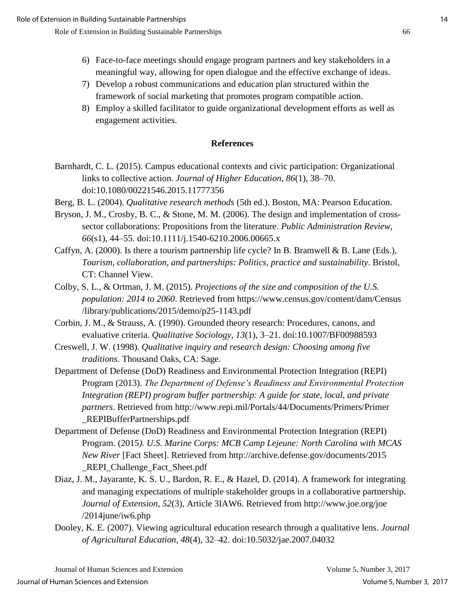- 6) Face-to-face meetings should engage program partners and key stakeholders in a meaningful way, allowing for open dialogue and the effective exchange of ideas.
- 7) Develop a robust communications and education plan structured within the framework of social marketing that promotes program compatible action.
- 8) Employ a skilled facilitator to guide organizational development efforts as well as engagement activities.

#### **References**

- Barnhardt, C. L. (2015). Campus educational contexts and civic participation: Organizational links to collective action. *Journal of Higher Education, 86*(1), 38–70. doi:10.1080/00221546.2015.11777356
- Berg, B. L. (2004). *Qualitative research methods* (5th ed.). Boston, MA: Pearson Education.
- Bryson, J. M., Crosby, B. C., & Stone, M. M. (2006). The design and implementation of crosssector collaborations: Propositions from the literature. *Public Administration Review, 66*(s1), 44–55. doi:10.1111/j.1540-6210.2006.00665.x
- Caffyn, A. (2000). Is there a tourism partnership life cycle? In B. Bramwell & B. Lane (Eds.), *Tourism, collaboration, and partnerships: Politics, practice and sustainability*. Bristol, CT: Channel View.
- Colby, S. L., & Ortman, J. M. (2015). *Projections of the size and composition of the U.S. population: 2014 to 2060*. Retrieved from https://www.census.gov/content/dam/Census /library/publications/2015/demo/p25-1143.pdf
- Corbin, J. M., & Strauss, A. (1990). Grounded theory research: Procedures, canons, and evaluative criteria. *Qualitative Sociology, 13*(1), 3–21. doi:10.1007/BF00988593
- Creswell, J. W. (1998). *Qualitative inquiry and research design: Choosing among five traditions*. Thousand Oaks, CA: Sage.
- Department of Defense (DoD) Readiness and Environmental Protection Integration (REPI) Program (2013). *The Department of Defense's Readiness and Environmental Protection Integration (REPI) program buffer partnership: A guide for state, local, and private partners*. Retrieved from http://www.repi.mil/Portals/44/Documents/Primers/Primer \_REPIBufferPartnerships.pdf
- Department of Defense (DoD) Readiness and Environmental Protection Integration (REPI) Program. (2015*). U.S. Marine Corps: MCB Camp Lejeune: North Carolina with MCAS New River* [Fact Sheet]. Retrieved from http://archive.defense.gov/documents/2015 \_REPI\_Challenge\_Fact\_Sheet.pdf
- Diaz, J. M., Jayarante, K. S. U., Bardon, R. E., & Hazel, D. (2014). A framework for integrating and managing expectations of multiple stakeholder groups in a collaborative partnership. *Journal of Extension, 52*(3), Article 3IAW6. Retrieved from http://www.joe.org/joe /2014june/iw6.php
- Dooley, K. E. (2007). Viewing agricultural education research through a qualitative lens. *Journal of Agricultural Education, 48*(4), 32–42. doi:10.5032/jae.2007.04032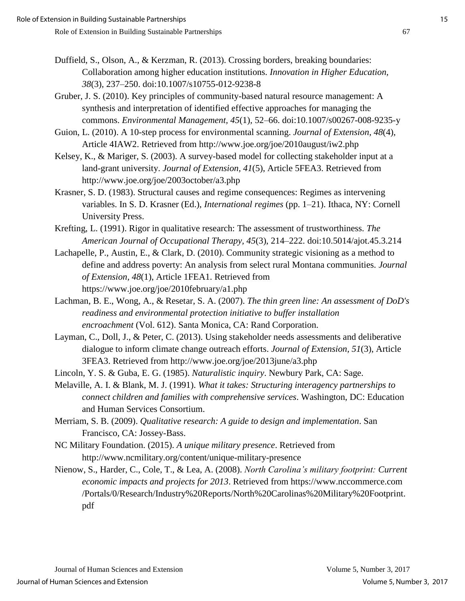- Duffield, S., Olson, A., & Kerzman, R. (2013). Crossing borders, breaking boundaries: Collaboration among higher education institutions. *Innovation in Higher Education, 38*(3)*,* 237–250. doi:10.1007/s10755-012-9238-8
- Gruber, J. S. (2010). Key principles of community-based natural resource management: A synthesis and interpretation of identified effective approaches for managing the commons. *Environmental Management, 45*(1)*,* 52–66. doi:10.1007/s00267-008-9235-y
- Guion, L. (2010). A 10-step process for environmental scanning. *Journal of Extension, 48*(4), Article 4IAW2. Retrieved from http://www.joe.org/joe/2010august/iw2.php
- Kelsey, K., & Mariger, S. (2003). A survey-based model for collecting stakeholder input at a land-grant university. *Journal of Extension, 41*(5), Article 5FEA3. Retrieved from http://www.joe.org/joe/2003october/a3.php
- Krasner, S. D. (1983). Structural causes and regime consequences: Regimes as intervening variables. In S. D. Krasner (Ed.), *International regimes* (pp. 1–21). Ithaca, NY: Cornell University Press.
- Krefting, L. (1991). Rigor in qualitative research: The assessment of trustworthiness. *The American Journal of Occupational Therapy, 45*(3), 214–222. doi:10.5014/ajot.45.3.214
- Lachapelle, P., Austin, E., & Clark, D. (2010). Community strategic visioning as a method to define and address poverty: An analysis from select rural Montana communities. *Journal of Extension, 48*(1), Article 1FEA1. Retrieved from https://www.joe.org/joe/2010february/a1.php
- Lachman, B. E., Wong, A., & Resetar, S. A. (2007). *The thin green line: An assessment of DoD's readiness and environmental protection initiative to buffer installation encroachment* (Vol. 612). Santa Monica, CA: Rand Corporation.
- Layman, C., Doll, J., & Peter, C. (2013). Using stakeholder needs assessments and deliberative dialogue to inform climate change outreach efforts. *Journal of Extension, 51*(3), Article 3FEA3. Retrieved from http://www.joe.org/joe/2013june/a3.php
- Lincoln, Y. S. & Guba, E. G. (1985). *Naturalistic inquiry*. Newbury Park, CA: Sage.
- Melaville, A. I. & Blank, M. J. (1991). *What it takes: Structuring interagency partnerships to connect children and families with comprehensive services*. Washington, DC: Education and Human Services Consortium.
- Merriam, S. B. (2009). *Qualitative research: A guide to design and implementation*. San Francisco, CA: Jossey-Bass.
- NC Military Foundation. (2015). *A unique military presence*. Retrieved from http://www.ncmilitary.org/content/unique-military-presence
- Nienow, S., Harder, C., Cole, T., & Lea, A. (2008). *North Carolina's military footprint: Current economic impacts and projects for 2013*. Retrieved from https://www.nccommerce.com /Portals/0/Research/Industry%20Reports/North%20Carolinas%20Military%20Footprint. pdf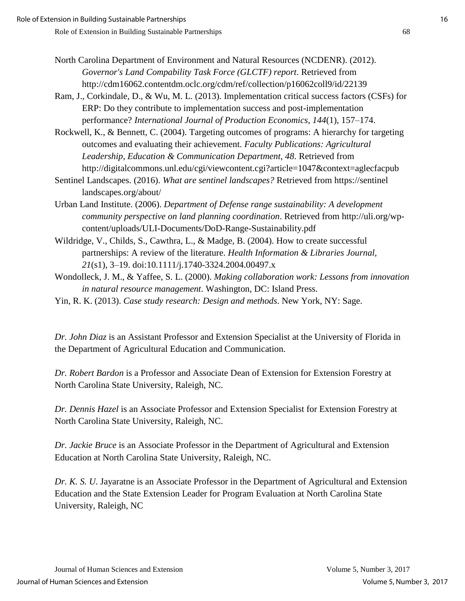- North Carolina Department of Environment and Natural Resources (NCDENR). (2012). *Governor's Land Compability Task Force (GLCTF) report*. Retrieved from http://cdm16062.contentdm.oclc.org/cdm/ref/collection/p16062coll9/id/22139
- Ram, J., Corkindale, D., & Wu, M. L. (2013). Implementation critical success factors (CSFs) for ERP: Do they contribute to implementation success and post-implementation performance? *International Journal of Production Economics*, *144*(1), 157–174.
- Rockwell, K., & Bennett, C. (2004). Targeting outcomes of programs: A hierarchy for targeting outcomes and evaluating their achievement. *Faculty Publications: Agricultural Leadership, Education & Communication Department, 48*. Retrieved from http://digitalcommons.unl.edu/cgi/viewcontent.cgi?article=1047&context=aglecfacpub
- Sentinel Landscapes. (2016). *What are sentinel landscapes?* Retrieved from https://sentinel landscapes.org/about/
- Urban Land Institute. (2006). *Department of Defense range sustainability: A development community perspective on land planning coordination*. Retrieved from http://uli.org/wpcontent/uploads/ULI-Documents/DoD-Range-Sustainability.pdf
- Wildridge, V., Childs, S., Cawthra, L., & Madge, B. (2004). How to create successful partnerships: A review of the literature. *Health Information & Libraries Journal, 21*(s1)*,* 3–19. doi:10.1111/j.1740-3324.2004.00497.x
- Wondolleck, J. M., & Yaffee, S. L. (2000). *Making collaboration work: Lessons from innovation in natural resource management*. Washington, DC: Island Press.
- Yin, R. K. (2013). *Case study research: Design and methods*. New York, NY: Sage.

*Dr. John Diaz* is an Assistant Professor and Extension Specialist at the University of Florida in the Department of Agricultural Education and Communication.

*Dr. Robert Bardon* is a Professor and Associate Dean of Extension for Extension Forestry at North Carolina State University, Raleigh, NC.

*Dr. Dennis Hazel* is an Associate Professor and Extension Specialist for Extension Forestry at North Carolina State University, Raleigh, NC.

*Dr. Jackie Bruce* is an Associate Professor in the Department of Agricultural and Extension Education at North Carolina State University, Raleigh, NC.

*Dr. K. S. U*. Jayaratne is an Associate Professor in the Department of Agricultural and Extension Education and the State Extension Leader for Program Evaluation at North Carolina State University, Raleigh, NC